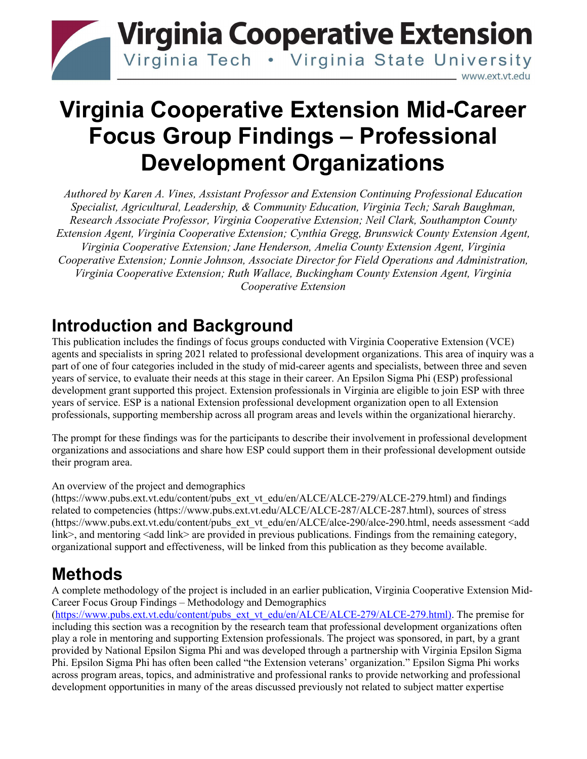

# **Virginia Cooperative Extension Mid-Career Focus Group Findings – Professional Development Organizations**

*Authored by Karen A. Vines, Assistant Professor and Extension Continuing Professional Education Specialist, Agricultural, Leadership, & Community Education, Virginia Tech; Sarah Baughman, Research Associate Professor, Virginia Cooperative Extension; Neil Clark, Southampton County Extension Agent, Virginia Cooperative Extension; Cynthia Gregg, Brunswick County Extension Agent, Virginia Cooperative Extension; Jane Henderson, Amelia County Extension Agent, Virginia Cooperative Extension; Lonnie Johnson, Associate Director for Field Operations and Administration, Virginia Cooperative Extension; Ruth Wallace, Buckingham County Extension Agent, Virginia Cooperative Extension*

## **Introduction and Background**

This publication includes the findings of focus groups conducted with Virginia Cooperative Extension (VCE) agents and specialists in spring 2021 related to professional development organizations. This area of inquiry was a part of one of four categories included in the study of mid-career agents and specialists, between three and seven years of service, to evaluate their needs at this stage in their career. An Epsilon Sigma Phi (ESP) professional development grant supported this project. Extension professionals in Virginia are eligible to join ESP with three years of service. ESP is a national Extension professional development organization open to all Extension professionals, supporting membership across all program areas and levels within the organizational hierarchy.

The prompt for these findings was for the participants to describe their involvement in professional development organizations and associations and share how ESP could support them in their professional development outside their program area.

An overview of the project and demographics

[\(https://www.pubs.ext.vt.edu/content/pubs\\_ext\\_vt\\_edu/en/ALCE/ALCE-279/ALCE-279.html\)](https://www.pubs.ext.vt.edu/content/pubs_ext_vt_edu/en/ALCE/ALCE-279/ALCE-279.html) and findings related to competencies [\(https://www.pubs.ext.vt.edu/ALCE/ALCE-287/ALCE-287.html\)](https://www.pubs.ext.vt.edu/ALCE/ALCE-287/ALCE-287.html), sources of stress [\(https://www.pubs.ext.vt.edu/content/pubs\\_ext\\_vt\\_edu/en/ALCE/alce-290/alce-290.html,](https://www.pubs.ext.vt.edu/content/pubs_ext_vt_edu/en/ALCE/alce-290/alce-290.html) needs assessment <add link>, and mentoring <add link> are provided in previous publications. Findings from the remaining category, organizational support and effectiveness, will be linked from this publication as they become available.

# **Methods**

A complete methodology of the project is included in an earlier publication, Virginia Cooperative Extension Mid-Career Focus Group Findings – Methodology and Demographics

[\(https://www.pubs.ext.vt.edu/content/pubs\\_ext\\_vt\\_edu/en/ALCE/ALCE-279/ALCE-279.html\)](https://www.pubs.ext.vt.edu/content/pubs_ext_vt_edu/en/ALCE/ALCE-279/ALCE-279.html). The premise for including this section was a recognition by the research team that professional development organizations often play a role in mentoring and supporting Extension professionals. The project was sponsored, in part, by a grant provided by National Epsilon Sigma Phi and was developed through a partnership with Virginia Epsilon Sigma Phi. Epsilon Sigma Phi has often been called "the Extension veterans' organization." Epsilon Sigma Phi works across program areas, topics, and administrative and professional ranks to provide networking and professional development opportunities in many of the areas discussed previously not related to subject matter expertise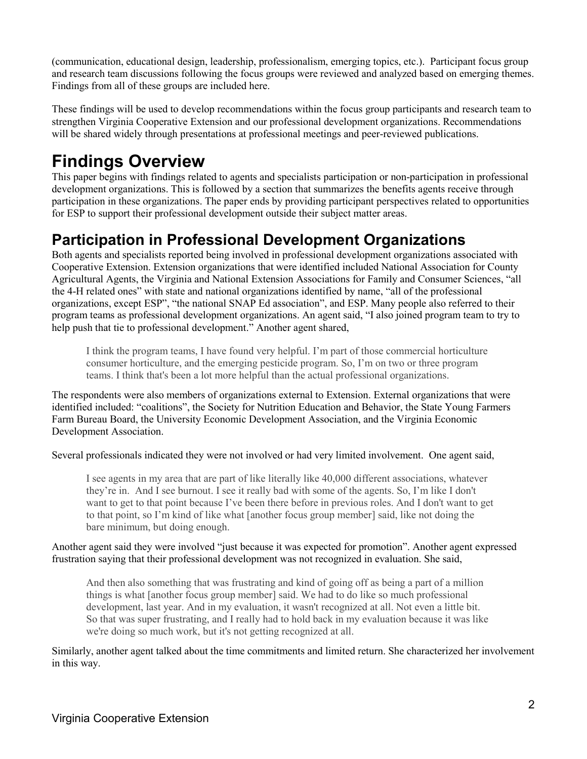(communication, educational design, leadership, professionalism, emerging topics, etc.). Participant focus group and research team discussions following the focus groups were reviewed and analyzed based on emerging themes. Findings from all of these groups are included here.

These findings will be used to develop recommendations within the focus group participants and research team to strengthen Virginia Cooperative Extension and our professional development organizations. Recommendations will be shared widely through presentations at professional meetings and peer-reviewed publications.

# **Findings Overview**

This paper begins with findings related to agents and specialists participation or non-participation in professional development organizations. This is followed by a section that summarizes the benefits agents receive through participation in these organizations. The paper ends by providing participant perspectives related to opportunities for ESP to support their professional development outside their subject matter areas.

### **Participation in Professional Development Organizations**

Both agents and specialists reported being involved in professional development organizations associated with Cooperative Extension. Extension organizations that were identified included National Association for County Agricultural Agents, the Virginia and National Extension Associations for Family and Consumer Sciences, "all the 4-H related ones" with state and national organizations identified by name, "all of the professional organizations, except ESP", "the national SNAP Ed association", and ESP. Many people also referred to their program teams as professional development organizations. An agent said, "I also joined program team to try to help push that tie to professional development." Another agent shared,

I think the program teams, I have found very helpful. I'm part of those commercial horticulture consumer horticulture, and the emerging pesticide program. So, I'm on two or three program teams. I think that's been a lot more helpful than the actual professional organizations.

The respondents were also members of organizations external to Extension. External organizations that were identified included: "coalitions", the Society for Nutrition Education and Behavior, the State Young Farmers Farm Bureau Board, the University Economic Development Association, and the Virginia Economic Development Association.

Several professionals indicated they were not involved or had very limited involvement. One agent said,

I see agents in my area that are part of like literally like 40,000 different associations, whatever they're in. And I see burnout. I see it really bad with some of the agents. So, I'm like I don't want to get to that point because I've been there before in previous roles. And I don't want to get to that point, so I'm kind of like what [another focus group member] said, like not doing the bare minimum, but doing enough.

#### Another agent said they were involved "just because it was expected for promotion". Another agent expressed frustration saying that their professional development was not recognized in evaluation. She said,

And then also something that was frustrating and kind of going off as being a part of a million things is what [another focus group member] said. We had to do like so much professional development, last year. And in my evaluation, it wasn't recognized at all. Not even a little bit. So that was super frustrating, and I really had to hold back in my evaluation because it was like we're doing so much work, but it's not getting recognized at all.

Similarly, another agent talked about the time commitments and limited return. She characterized her involvement in this way.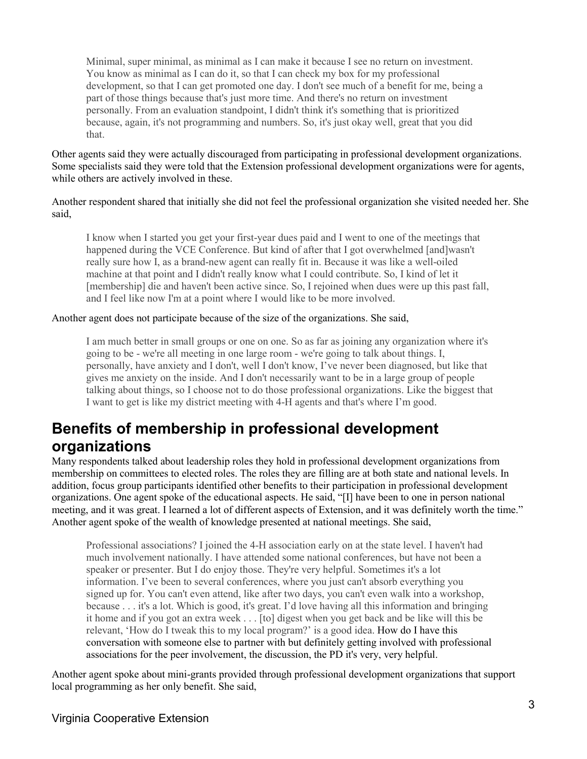Minimal, super minimal, as minimal as I can make it because I see no return on investment. You know as minimal as I can do it, so that I can check my box for my professional development, so that I can get promoted one day. I don't see much of a benefit for me, being a part of those things because that's just more time. And there's no return on investment personally. From an evaluation standpoint, I didn't think it's something that is prioritized because, again, it's not programming and numbers. So, it's just okay well, great that you did that.

Other agents said they were actually discouraged from participating in professional development organizations. Some specialists said they were told that the Extension professional development organizations were for agents, while others are actively involved in these.

Another respondent shared that initially she did not feel the professional organization she visited needed her. She said,

I know when I started you get your first-year dues paid and I went to one of the meetings that happened during the VCE Conference. But kind of after that I got overwhelmed [and]wasn't really sure how I, as a brand-new agent can really fit in. Because it was like a well-oiled machine at that point and I didn't really know what I could contribute. So, I kind of let it [membership] die and haven't been active since. So, I rejoined when dues were up this past fall, and I feel like now I'm at a point where I would like to be more involved.

#### Another agent does not participate because of the size of the organizations. She said,

I am much better in small groups or one on one. So as far as joining any organization where it's going to be - we're all meeting in one large room - we're going to talk about things. I, personally, have anxiety and I don't, well I don't know, I've never been diagnosed, but like that gives me anxiety on the inside. And I don't necessarily want to be in a large group of people talking about things, so I choose not to do those professional organizations. Like the biggest that I want to get is like my district meeting with 4-H agents and that's where I'm good.

### **Benefits of membership in professional development organizations**

Many respondents talked about leadership roles they hold in professional development organizations from membership on committees to elected roles. The roles they are filling are at both state and national levels. In addition, focus group participants identified other benefits to their participation in professional development organizations. One agent spoke of the educational aspects. He said, "[I] have been to one in person national meeting, and it was great. I learned a lot of different aspects of Extension, and it was definitely worth the time." Another agent spoke of the wealth of knowledge presented at national meetings. She said,

Professional associations? I joined the 4-H association early on at the state level. I haven't had much involvement nationally. I have attended some national conferences, but have not been a speaker or presenter. But I do enjoy those. They're very helpful. Sometimes it's a lot information. I've been to several conferences, where you just can't absorb everything you signed up for. You can't even attend, like after two days, you can't even walk into a workshop, because . . . it's a lot. Which is good, it's great. I'd love having all this information and bringing it home and if you got an extra week . . . [to] digest when you get back and be like will this be relevant, 'How do I tweak this to my local program?' is a good idea. How do I have this conversation with someone else to partner with but definitely getting involved with professional associations for the peer involvement, the discussion, the PD it's very, very helpful.

Another agent spoke about mini-grants provided through professional development organizations that support local programming as her only benefit. She said,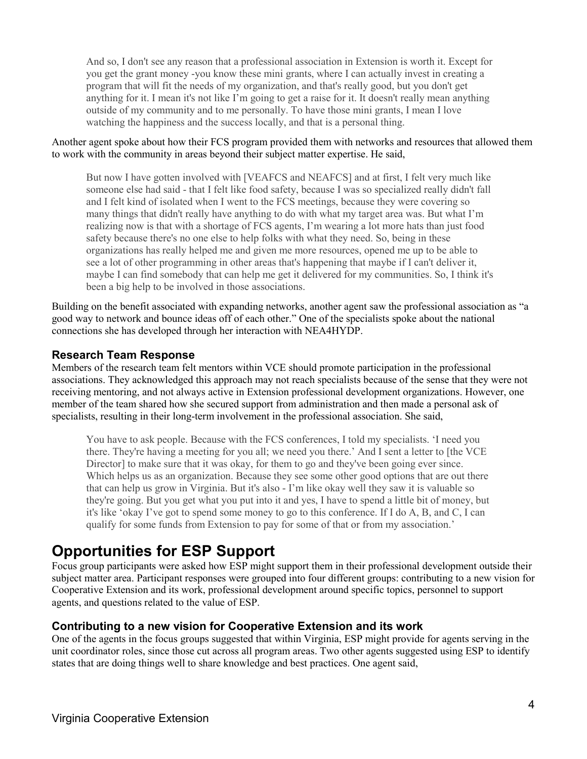And so, I don't see any reason that a professional association in Extension is worth it. Except for you get the grant money -you know these mini grants, where I can actually invest in creating a program that will fit the needs of my organization, and that's really good, but you don't get anything for it. I mean it's not like I'm going to get a raise for it. It doesn't really mean anything outside of my community and to me personally. To have those mini grants, I mean I love watching the happiness and the success locally, and that is a personal thing.

#### Another agent spoke about how their FCS program provided them with networks and resources that allowed them to work with the community in areas beyond their subject matter expertise. He said,

But now I have gotten involved with [VEAFCS and NEAFCS] and at first, I felt very much like someone else had said - that I felt like food safety, because I was so specialized really didn't fall and I felt kind of isolated when I went to the FCS meetings, because they were covering so many things that didn't really have anything to do with what my target area was. But what I'm realizing now is that with a shortage of FCS agents, I'm wearing a lot more hats than just food safety because there's no one else to help folks with what they need. So, being in these organizations has really helped me and given me more resources, opened me up to be able to see a lot of other programming in other areas that's happening that maybe if I can't deliver it, maybe I can find somebody that can help me get it delivered for my communities. So, I think it's been a big help to be involved in those associations.

Building on the benefit associated with expanding networks, another agent saw the professional association as "a good way to network and bounce ideas off of each other." One of the specialists spoke about the national connections she has developed through her interaction with NEA4HYDP.

#### **Research Team Response**

Members of the research team felt mentors within VCE should promote participation in the professional associations. They acknowledged this approach may not reach specialists because of the sense that they were not receiving mentoring, and not always active in Extension professional development organizations. However, one member of the team shared how she secured support from administration and then made a personal ask of specialists, resulting in their long-term involvement in the professional association. She said,

You have to ask people. Because with the FCS conferences, I told my specialists. 'I need you there. They're having a meeting for you all; we need you there.' And I sent a letter to [the VCE Director] to make sure that it was okay, for them to go and they've been going ever since. Which helps us as an organization. Because they see some other good options that are out there that can help us grow in Virginia. But it's also - I'm like okay well they saw it is valuable so they're going. But you get what you put into it and yes, I have to spend a little bit of money, but it's like 'okay I've got to spend some money to go to this conference. If I do A, B, and C, I can qualify for some funds from Extension to pay for some of that or from my association.'

### **Opportunities for ESP Support**

Focus group participants were asked how ESP might support them in their professional development outside their subject matter area. Participant responses were grouped into four different groups: contributing to a new vision for Cooperative Extension and its work, professional development around specific topics, personnel to support agents, and questions related to the value of ESP.

#### **Contributing to a new vision for Cooperative Extension and its work**

One of the agents in the focus groups suggested that within Virginia, ESP might provide for agents serving in the unit coordinator roles, since those cut across all program areas. Two other agents suggested using ESP to identify states that are doing things well to share knowledge and best practices. One agent said,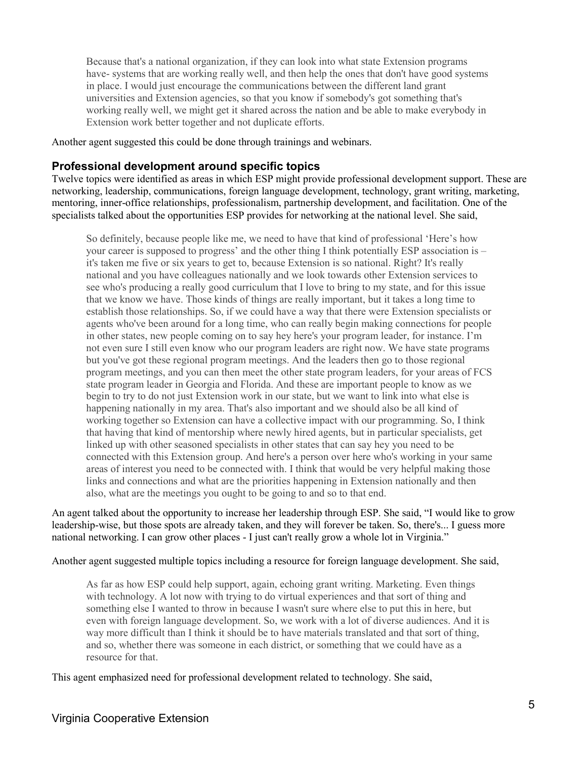Because that's a national organization, if they can look into what state Extension programs have- systems that are working really well, and then help the ones that don't have good systems in place. I would just encourage the communications between the different land grant universities and Extension agencies, so that you know if somebody's got something that's working really well, we might get it shared across the nation and be able to make everybody in Extension work better together and not duplicate efforts.

Another agent suggested this could be done through trainings and webinars.

#### **Professional development around specific topics**

Twelve topics were identified as areas in which ESP might provide professional development support. These are networking, leadership, communications, foreign language development, technology, grant writing, marketing, mentoring, inner-office relationships, professionalism, partnership development, and facilitation. One of the specialists talked about the opportunities ESP provides for networking at the national level. She said,

So definitely, because people like me, we need to have that kind of professional 'Here's how your career is supposed to progress' and the other thing I think potentially ESP association is – it's taken me five or six years to get to, because Extension is so national. Right? It's really national and you have colleagues nationally and we look towards other Extension services to see who's producing a really good curriculum that I love to bring to my state, and for this issue that we know we have. Those kinds of things are really important, but it takes a long time to establish those relationships. So, if we could have a way that there were Extension specialists or agents who've been around for a long time, who can really begin making connections for people in other states, new people coming on to say hey here's your program leader, for instance. I'm not even sure I still even know who our program leaders are right now. We have state programs but you've got these regional program meetings. And the leaders then go to those regional program meetings, and you can then meet the other state program leaders, for your areas of FCS state program leader in Georgia and Florida. And these are important people to know as we begin to try to do not just Extension work in our state, but we want to link into what else is happening nationally in my area. That's also important and we should also be all kind of working together so Extension can have a collective impact with our programming. So, I think that having that kind of mentorship where newly hired agents, but in particular specialists, get linked up with other seasoned specialists in other states that can say hey you need to be connected with this Extension group. And here's a person over here who's working in your same areas of interest you need to be connected with. I think that would be very helpful making those links and connections and what are the priorities happening in Extension nationally and then also, what are the meetings you ought to be going to and so to that end.

An agent talked about the opportunity to increase her leadership through ESP. She said, "I would like to grow leadership-wise, but those spots are already taken, and they will forever be taken. So, there's... I guess more national networking. I can grow other places - I just can't really grow a whole lot in Virginia."

Another agent suggested multiple topics including a resource for foreign language development. She said,

As far as how ESP could help support, again, echoing grant writing. Marketing. Even things with technology. A lot now with trying to do virtual experiences and that sort of thing and something else I wanted to throw in because I wasn't sure where else to put this in here, but even with foreign language development. So, we work with a lot of diverse audiences. And it is way more difficult than I think it should be to have materials translated and that sort of thing, and so, whether there was someone in each district, or something that we could have as a resource for that.

This agent emphasized need for professional development related to technology. She said,